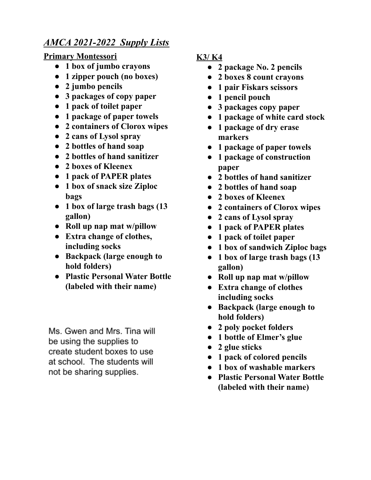## *AMCA 2021-2022 Supply Lists*

**Primary Montessori**

- **● 1 box of jumbo crayons**
- **● 1 zipper pouch (no boxes)**
- **● 2 jumbo pencils**
- **● 3 packages of copy paper**
- **● 1 pack of toilet paper**
- **● 1 package of paper towels**
- **● 2 containers of Clorox wipes**
- **● 2 cans of Lysol spray**
- **● 2 bottles of hand soap**
- **● 2 bottles of hand sanitizer**
- **● 2 boxes of Kleenex**
- **● 1 pack of PAPER plates**
- **● 1 box of snack size Ziploc bags**
- **● 1 box of large trash bags (13 gallon)**
- **● Roll up nap mat w/pillow**
- **● Extra change of clothes, including socks**
- **● Backpack (large enough to hold folders)**
- **● Plastic Personal Water Bottle (labeled with their name)**

Ms. Gwen and Mrs. Tina will be using the supplies to create student boxes to use at school. The students will not be sharing supplies.

## **K3/ K4**

- **● 2 package No. 2 pencils**
- **● 2 boxes 8 count crayons**
- **● 1 pair Fiskars scissors**
- **● 1 pencil pouch**
- **● 3 packages copy paper**
- **● 1 package of white card stock**
- **● 1 package of dry erase markers**
- **● 1 package of paper towels**
- **● 1 package of construction paper**
- **● 2 bottles of hand sanitizer**
- **● 2 bottles of hand soap**
- **● 2 boxes of Kleenex**
- **● 2 containers of Clorox wipes**
- **● 2 cans of Lysol spray**
- **● 1 pack of PAPER plates**
- **● 1 pack of toilet paper**
- **● 1 box of sandwich Ziploc bags**
- **● 1 box of large trash bags (13 gallon)**
- **● Roll up nap mat w/pillow**
- **● Extra change of clothes including socks**
- **● Backpack (large enough to hold folders)**
- **● 2 poly pocket folders**
- **● 1 bottle of Elmer's glue**
- **● 2 glue sticks**
- **● 1 pack of colored pencils**
- **● 1 box of washable markers**
- **● Plastic Personal Water Bottle (labeled with their name)**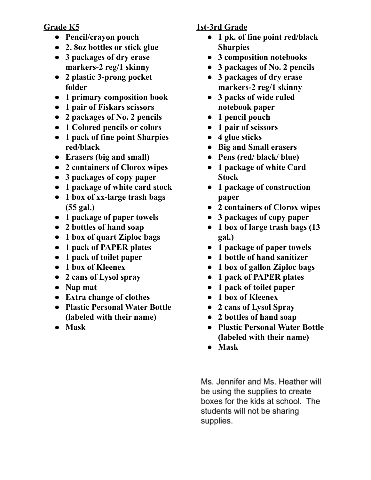**Grade K5**

- **● Pencil/crayon pouch**
- **● 2, 8oz bottles or stick glue**
- **● 3 packages of dry erase markers-2 reg/1 skinny**
- **● 2 plastic 3-prong pocket folder**
- **● 1 primary composition book**
- **● 1 pair of Fiskars scissors**
- **● 2 packages of No. 2 pencils**
- **● 1 Colored pencils or colors**
- **● 1 pack of fine point Sharpies red/black**
- **● Erasers (big and small)**
- **● 2 containers of Clorox wipes**
- **● 3 packages of copy paper**
- **● 1 package of white card stock**
- **● 1 box of xx-large trash bags (55 gal.)**
- **● 1 package of paper towels**
- **● 2 bottles of hand soap**
- **● 1 box of quart Ziploc bags**
- **● 1 pack of PAPER plates**
- **● 1 pack of toilet paper**
- **● 1 box of Kleenex**
- **● 2 cans of Lysol spray**
- **● Nap mat**
- **● Extra change of clothes**
- **● Plastic Personal Water Bottle (labeled with their name)**
- **● Mask**

## **1st-3rd Grade**

- **● 1 pk. of fine point red/black Sharpies**
- **● 3 composition notebooks**
- **● 3 packages of No. 2 pencils**
- **● 3 packages of dry erase markers-2 reg/1 skinny**
- **● 3 packs of wide ruled notebook paper**
- **● 1 pencil pouch**
- **● 1 pair of scissors**
- **● 4 glue sticks**
- **● Big and Small erasers**
- **● Pens (red/ black/ blue)**
- **● 1 package of white Card Stock**
- **● 1 package of construction paper**
- **● 2 containers of Clorox wipes**
- **● 3 packages of copy paper**
- **● 1 box of large trash bags (13 gal.)**
- **● 1 package of paper towels**
- **● 1 bottle of hand sanitizer**
- **● 1 box of gallon Ziploc bags**
- **● 1 pack of PAPER plates**
- **● 1 pack of toilet paper**
- **● 1 box of Kleenex**
- **● 2 cans of Lysol Spray**
- **● 2 bottles of hand soap**
- **● Plastic Personal Water Bottle (labeled with their name)**
- **● Mask**

Ms. Jennifer and Ms. Heather will be using the supplies to create boxes for the kids at school. The students will not be sharing supplies.